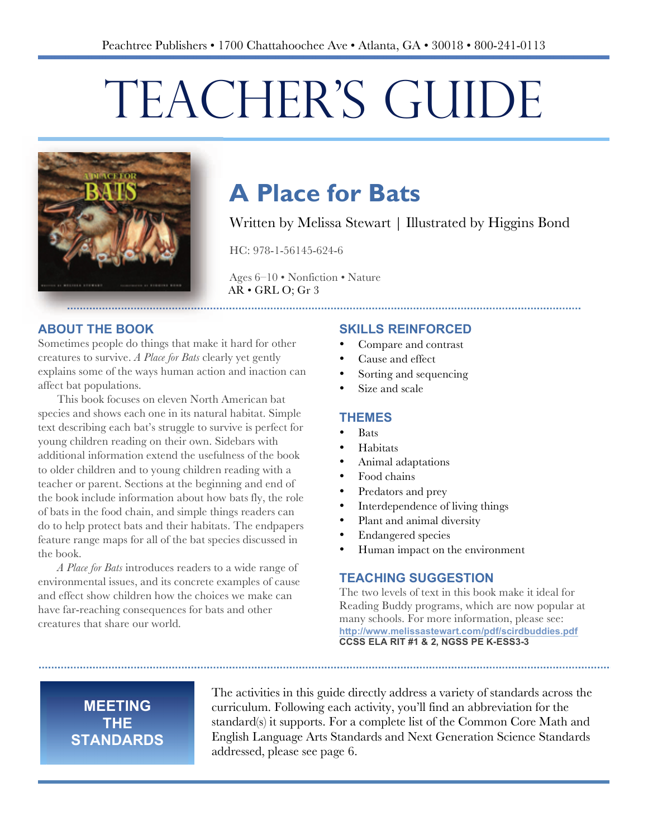# TEACHER'S GUIDE



## **A Place for Bats**

Written by Melissa Stewart | Illustrated by Higgins Bond

HC: 978-1-56145-624-6

Ages 6–10 • Nonfiction • Nature AR • GRL O; Gr 3

#### **ABOUT THE BOOK**

Sometimes people do things that make it hard for other creatures to survive. *A Place for Bats* clearly yet gently explains some of the ways human action and inaction can affect bat populations.

This book focuses on eleven North American bat species and shows each one in its natural habitat. Simple text describing each bat's struggle to survive is perfect for young children reading on their own. Sidebars with additional information extend the usefulness of the book to older children and to young children reading with a teacher or parent. Sections at the beginning and end of the book include information about how bats fly, the role of bats in the food chain, and simple things readers can do to help protect bats and their habitats. The endpapers feature range maps for all of the bat species discussed in the book.

*A Place for Bats* introduces readers to a wide range of environmental issues, and its concrete examples of cause and effect show children how the choices we make can have far-reaching consequences for bats and other creatures that share our world.

#### **SKILLS REINFORCED**

- Compare and contrast
- Cause and effect
- Sorting and sequencing
- Size and scale

#### **THEMES**

- Bats
- **Habitats**
- Animal adaptations
- Food chains
- Predators and prey
- Interdependence of living things
- Plant and animal diversity
- Endangered species
- Human impact on the environment

#### **TEACHING SUGGESTION**

The two levels of text in this book make it ideal for Reading Buddy programs, which are now popular at many schools. For more information, please see: **http://www.melissastewart.com/pdf/scirdbuddies.pdf CCSS ELA RIT #1 & 2, NGSS PE K-ESS3-3** 

#### **MEETING THE STANDARDS**

The activities in this guide directly address a variety of standards across the curriculum. Following each activity, you'll find an abbreviation for the standard(s) it supports. For a complete list of the Common Core Math and English Language Arts Standards and Next Generation Science Standards addressed, please see page 6.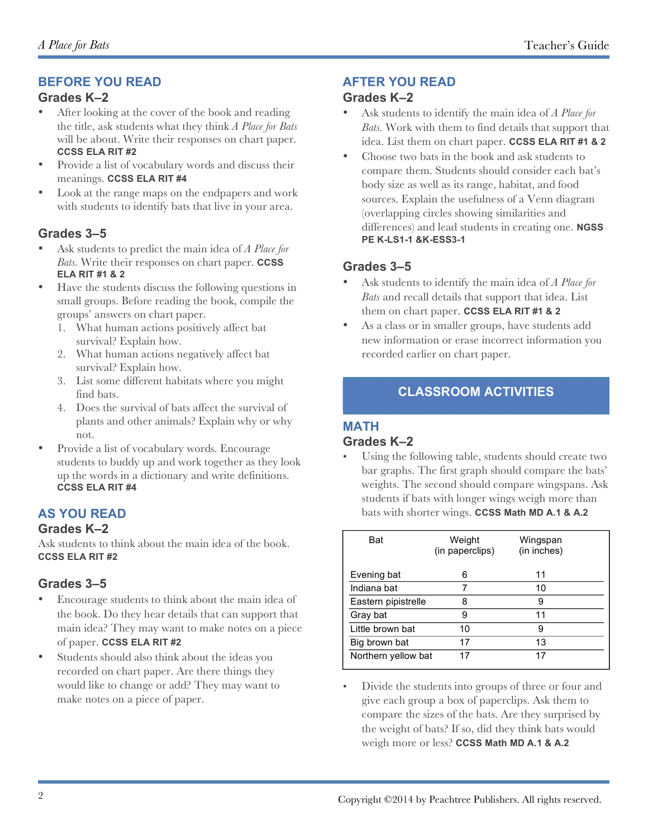#### **BEFORE YOU READ**

#### **Grades K–2**

- After looking at the cover of the book and reading the title, ask students what they think *A Place for Bats* will be about. Write their responses on chart paper. **CCSS ELA RIT #2**
- Provide a list of vocabulary words and discuss their meanings. **CCSS ELA RIT #4**
- with students to identify bats that live in your area. Look at the range maps on the endpapers and work

#### **Grades 3–5**

- Ask students to predict the main idea of *A Place for Bats.* Write their responses on chart paper. **CCSS ELA RIT #1 & 2**
- Have the students discuss the following questions in small groups. Before reading the book, compile the groups' answers on chart paper.
	- 1. What human actions positively affect bat survival? Explain how.
	- 2. What human actions negatively affect bat survival? Explain how.
	- 3. List some different habitats where you might find bats.
	- 4. Does the survival of bats affect the survival of plants and other animals? Explain why or why not.
- Provide a list of vocabulary words. Encourage students to buddy up and work together as they look up the words in a dictionary and write definitions. **CCSS ELA RIT #4**

#### **AS YOU READ**

#### **Grades K–2**

Ask students to think about the main idea of the book. **CCSS ELA RIT #2**

#### **Grades 3–5**

- Encourage students to think about the main idea of the book. Do they hear details that can support that main idea? They may want to make notes on a piece of paper. **CCSS ELA RIT #2**
- Students should also think about the ideas you recorded on chart paper. Are there things they would like to change or add? They may want to make notes on a piece of paper.

#### **AFTER YOU READ**

#### **Grades K–2**

- Ask students to identify the main idea of *A Place for Bats.* Work with them to find details that support that idea. List them on chart paper. **CCSS ELA RIT #1 & 2**
- Choose two bats in the book and ask students to compare them. Students should consider each bat's body size as well as its range, habitat, and food sources. Explain the usefulness of a Venn diagram (overlapping circles showing similarities and differences) and lead students in creating one. **NGSS PE K-LS1-1 &K-ESS3-1**

#### **Grades 3–5**

- Ask students to identify the main idea of *A Place for Bats* and recall details that support that idea. List them on chart paper. **CCSS ELA RIT #1 & 2**
- As a class or in smaller groups, have students add new information or erase incorrect information you recorded earlier on chart paper.

#### **CLASSROOM ACTIVITIES**

#### **MATH**

#### **Grades K–2**

Using the following table, students should create two bar graphs. The first graph should compare the bats' weights. The second should compare wingspans. Ask students if bats with longer wings weigh more than bats with shorter wings. **CCSS Math MD A.1 & A.2**

| Bat                 | Weight<br>(in paperclips) | Wingspan<br>(in inches) |
|---------------------|---------------------------|-------------------------|
| Evening bat         | 6                         | 11                      |
| Indiana bat         |                           | 10                      |
| Eastern pipistrelle | 8                         | 9                       |
| Gray bat            | 9                         | 11                      |
| Little brown bat    | 10                        | 9                       |
| Big brown bat       | 17                        | 13                      |
| Northern yellow bat | 17                        | 17                      |

• Divide the students into groups of three or four and give each group a box of paperclips. Ask them to compare the sizes of the bats. Are they surprised by the weight of bats? If so, did they think bats would weigh more or less? **CCSS Math MD A.1 & A.2**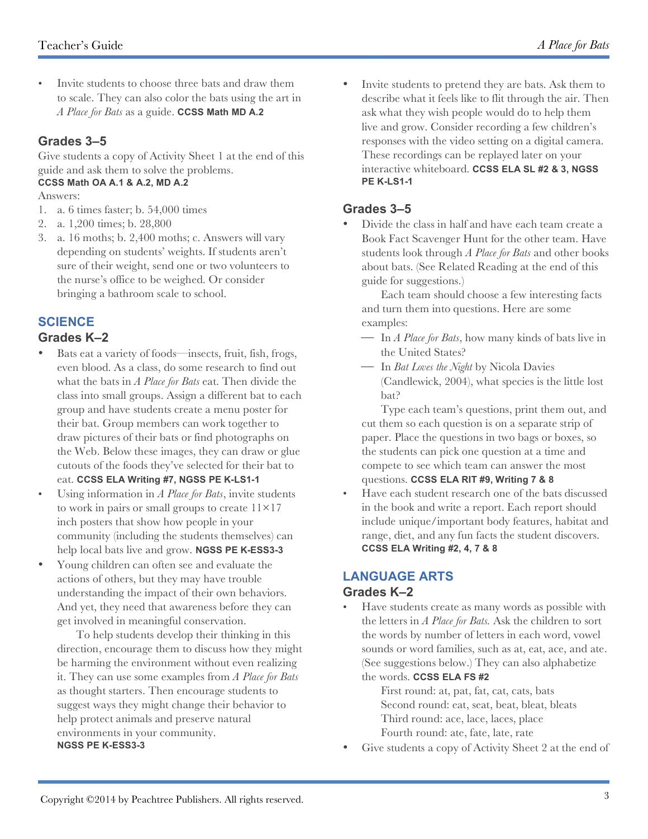• Invite students to choose three bats and draw them to scale. They can also color the bats using the art in *A Place for Bats* as a guide. **CCSS Math MD A.2**

#### **Grades 3–5**

Give students a copy of Activity Sheet 1 at the end of this guide and ask them to solve the problems. **CCSS Math OA A.1 & A.2, MD A.2**

#### Answers:

- 1. a. 6 times faster; b. 54,000 times
- 2. a. 1,200 times; b. 28,800
- 3. a. 16 moths; b. 2,400 moths; c. Answers will vary depending on students' weights. If students aren't sure of their weight, send one or two volunteers to the nurse's office to be weighed. Or consider bringing a bathroom scale to school.

#### **SCIENCE**

#### **Grades K–2**

- Bats eat a variety of foods—insects, fruit, fish, frogs, even blood. As a class, do some research to find out what the bats in *A Place for Bats* eat. Then divide the class into small groups. Assign a different bat to each group and have students create a menu poster for their bat. Group members can work together to draw pictures of their bats or find photographs on the Web. Below these images, they can draw or glue cutouts of the foods they've selected for their bat to eat. **CCSS ELA Writing #7, NGSS PE K-LS1-1**
- Using information in *A Place for Bats*, invite students to work in pairs or small groups to create  $11\times17$ inch posters that show how people in your community (including the students themselves) can help local bats live and grow. **NGSS PE K-ESS3-3**
- Young children can often see and evaluate the actions of others, but they may have trouble understanding the impact of their own behaviors. And yet, they need that awareness before they can get involved in meaningful conservation.

To help students develop their thinking in this direction, encourage them to discuss how they might be harming the environment without even realizing it. They can use some examples from *A Place for Bats* as thought starters. Then encourage students to suggest ways they might change their behavior to help protect animals and preserve natural environments in your community. **NGSS PE K-ESS3-3**

• Invite students to pretend they are bats. Ask them to describe what it feels like to flit through the air. Then ask what they wish people would do to help them live and grow. Consider recording a few children's responses with the video setting on a digital camera. These recordings can be replayed later on your interactive whiteboard. **CCSS ELA SL #2 & 3, NGSS PE K-LS1-1**

#### **Grades 3–5**

• Divide the class in half and have each team create a Book Fact Scavenger Hunt for the other team. Have students look through *A Place for Bats* and other books about bats. (See Related Reading at the end of this guide for suggestions.)

Each team should choose a few interesting facts and turn them into questions. Here are some examples:

- ! In *A Place for Bats*, how many kinds of bats live in the United States?
- ! In *Bat Loves the Night* by Nicola Davies (Candlewick, 2004), what species is the little lost bat?

Type each team's questions, print them out, and cut them so each question is on a separate strip of paper. Place the questions in two bags or boxes, so the students can pick one question at a time and compete to see which team can answer the most questions. **CCSS ELA RIT #9, Writing 7 & 8**

• Have each student research one of the bats discussed in the book and write a report. Each report should include unique/important body features, habitat and range, diet, and any fun facts the student discovers. **CCSS ELA Writing #2, 4, 7 & 8**

#### **LANGUAGE ARTS Grades K–2**

• Have students create as many words as possible with the letters in *A Place for Bats.* Ask the children to sort the words by number of letters in each word, vowel sounds or word families, such as at, eat, ace, and ate. (See suggestions below.) They can also alphabetize the words. **CCSS ELA FS #2**

First round: at, pat, fat, cat, cats, bats Second round: eat, seat, beat, bleat, bleats Third round: ace, lace, laces, place Fourth round: ate, fate, late, rate

Give students a copy of Activity Sheet 2 at the end of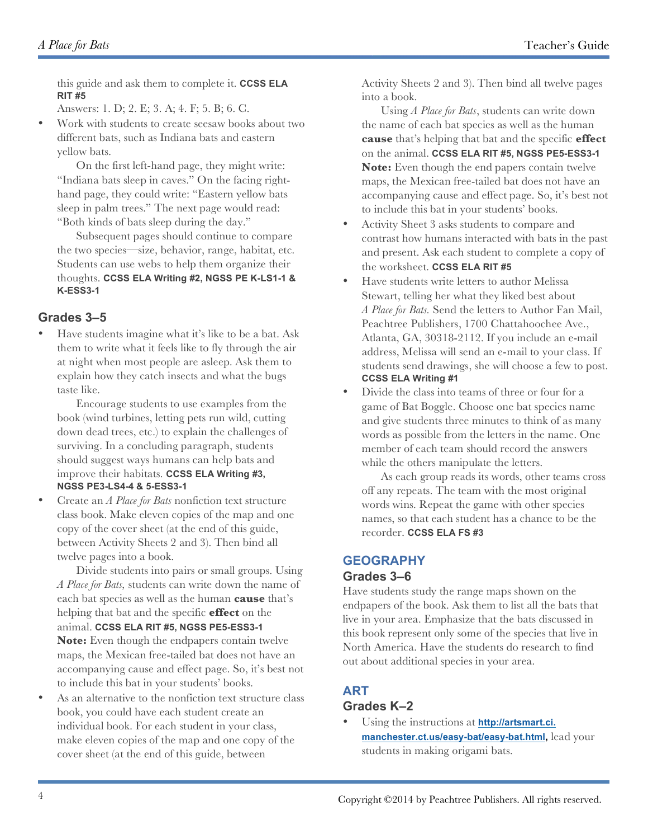this guide and ask them to complete it. **CCSS ELA RIT #5**

Answers: 1. D; 2. E; 3. A; 4. F; 5. B; 6. C.

• Work with students to create seesaw books about two different bats, such as Indiana bats and eastern yellow bats.

On the first left-hand page, they might write: "Indiana bats sleep in caves." On the facing righthand page, they could write: "Eastern yellow bats sleep in palm trees." The next page would read: "Both kinds of bats sleep during the day."

Subsequent pages should continue to compare the two species—size, behavior, range, habitat, etc. Students can use webs to help them organize their thoughts. **CCSS ELA Writing #2, NGSS PE K-LS1-1 & K-ESS3-1**

#### **Grades 3–5**

• Have students imagine what it's like to be a bat. Ask them to write what it feels like to fly through the air at night when most people are asleep. Ask them to explain how they catch insects and what the bugs taste like.

Encourage students to use examples from the book (wind turbines, letting pets run wild, cutting down dead trees, etc.) to explain the challenges of surviving. In a concluding paragraph, students should suggest ways humans can help bats and improve their habitats. **CCSS ELA Writing #3, NGSS PE3-LS4-4 & 5-ESS3-1** 

• Create an *A Place for Bats* nonfiction text structure class book. Make eleven copies of the map and one copy of the cover sheet (at the end of this guide, between Activity Sheets 2 and 3). Then bind all twelve pages into a book.

Divide students into pairs or small groups. Using *A Place for Bats,* students can write down the name of each bat species as well as the human **cause** that's helping that bat and the specific **effect** on the animal. **CCSS ELA RIT #5, NGSS PE5-ESS3-1 Note:** Even though the endpapers contain twelve

maps, the Mexican free-tailed bat does not have an accompanying cause and effect page. So, it's best not to include this bat in your students' books.

As an alternative to the nonfiction text structure class book, you could have each student create an individual book. For each student in your class, make eleven copies of the map and one copy of the cover sheet (at the end of this guide, between

Activity Sheets 2 and 3). Then bind all twelve pages into a book.

Using *A Place for Bats*, students can write down the name of each bat species as well as the human **cause** that's helping that bat and the specific **effect** on the animal. **CCSS ELA RIT #5, NGSS PE5-ESS3-1 Note:** Even though the end papers contain twelve maps, the Mexican free-tailed bat does not have an accompanying cause and effect page. So, it's best not to include this bat in your students' books.

- Activity Sheet 3 asks students to compare and contrast how humans interacted with bats in the past and present. Ask each student to complete a copy of the worksheet. **CCSS ELA RIT #5**
- Have students write letters to author Melissa Stewart, telling her what they liked best about *A Place for Bats.* Send the letters to Author Fan Mail, Peachtree Publishers, 1700 Chattahoochee Ave., Atlanta, GA, 30318-2112. If you include an e-mail address, Melissa will send an e-mail to your class. If students send drawings, she will choose a few to post. **CCSS ELA Writing #1**
- Divide the class into teams of three or four for a game of Bat Boggle. Choose one bat species name and give students three minutes to think of as many words as possible from the letters in the name. One member of each team should record the answers while the others manipulate the letters.

As each group reads its words, other teams cross off any repeats. The team with the most original words wins. Repeat the game with other species names, so that each student has a chance to be the recorder. **CCSS ELA FS #3**

#### **GEOGRAPHY Grades 3–6**

Have students study the range maps shown on the endpapers of the book. Ask them to list all the bats that live in your area. Emphasize that the bats discussed in this book represent only some of the species that live in North America. Have the students do research to find out about additional species in your area.

#### **ART**

#### **Grades K–2**

• Using the instructions at **http://artsmart.ci. manchester.ct.us/easy-bat/easy-bat.html,** lead your students in making origami bats.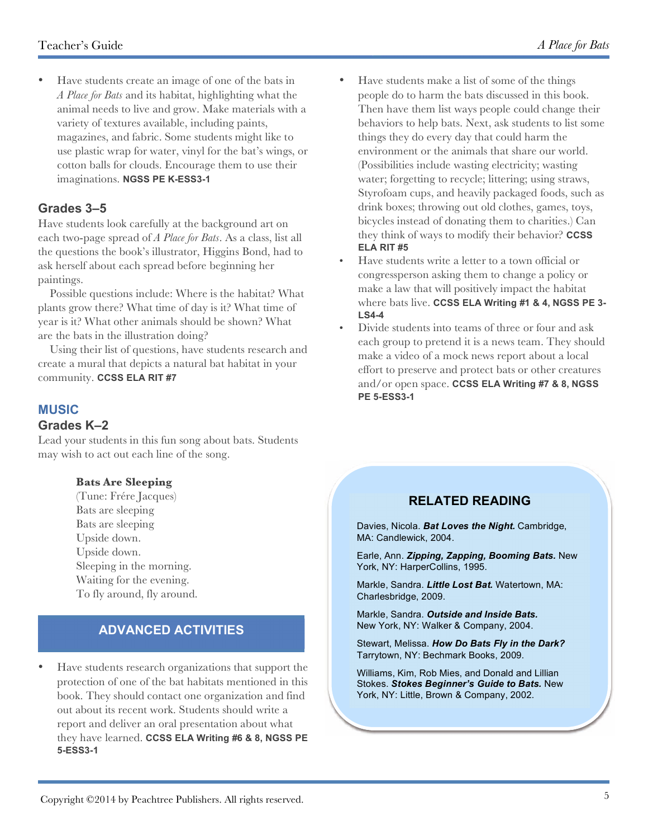• Have students create an image of one of the bats in *A Place for Bats* and its habitat, highlighting what the animal needs to live and grow. Make materials with a variety of textures available, including paints, magazines, and fabric. Some students might like to use plastic wrap for water, vinyl for the bat's wings, or cotton balls for clouds. Encourage them to use their imaginations. **NGSS PE K-ESS3-1**

#### **Grades 3–5**

Have students look carefully at the background art on each two-page spread of *A Place for Bats*. As a class, list all the questions the book's illustrator, Higgins Bond, had to ask herself about each spread before beginning her paintings.

 Possible questions include: Where is the habitat? What plants grow there? What time of day is it? What time of year is it? What other animals should be shown? What are the bats in the illustration doing?

 Using their list of questions, have students research and create a mural that depicts a natural bat habitat in your community. **CCSS ELA RIT #7**

### **MUSIC**

#### **Grades K–2**

Lead your students in this fun song about bats. Students may wish to act out each line of the song.

#### **Bats Are Sleeping**

(Tune: Frére Jacques) Bats are sleeping Bats are sleeping Upside down. Upside down. Sleeping in the morning. Waiting for the evening. To fly around, fly around.

#### **ADVANCED ACTIVITIES**

• Have students research organizations that support the protection of one of the bat habitats mentioned in this book. They should contact one organization and find out about its recent work. Students should write a report and deliver an oral presentation about what they have learned. **CCSS ELA Writing #6 & 8, NGSS PE 5-ESS3-1**

- Have students make a list of some of the things people do to harm the bats discussed in this book. Then have them list ways people could change their behaviors to help bats. Next, ask students to list some things they do every day that could harm the environment or the animals that share our world. (Possibilities include wasting electricity; wasting water; forgetting to recycle; littering; using straws, Styrofoam cups, and heavily packaged foods, such as drink boxes; throwing out old clothes, games, toys, bicycles instead of donating them to charities.) Can they think of ways to modify their behavior? **CCSS ELA RIT #5**
- Have students write a letter to a town official or congressperson asking them to change a policy or make a law that will positively impact the habitat where bats live. **CCSS ELA Writing #1 & 4, NGSS PE 3- LS4-4**
- Divide students into teams of three or four and ask each group to pretend it is a news team. They should make a video of a mock news report about a local effort to preserve and protect bats or other creatures and/or open space. **CCSS ELA Writing #7 & 8, NGSS PE 5-ESS3-1**

#### **RELATED READING**

Davies, Nicola. *Bat Loves the Night.* Cambridge, MA: Candlewick, 2004.

Earle, Ann. *Zipping, Zapping, Booming Bats.* New York, NY: HarperCollins, 1995.

Markle, Sandra. *Little Lost Bat.* Watertown, MA: Charlesbridge, 2009.

Markle, Sandra. *Outside and Inside Bats.* New York, NY: Walker & Company, 2004.

Stewart, Melissa. *How Do Bats Fly in the Dark?* Tarrytown, NY: Bechmark Books, 2009.

Williams, Kim, Rob Mies, and Donald and Lillian Stokes. *Stokes Beginner's Guide to Bats.* New York, NY: Little, Brown & Company, 2002.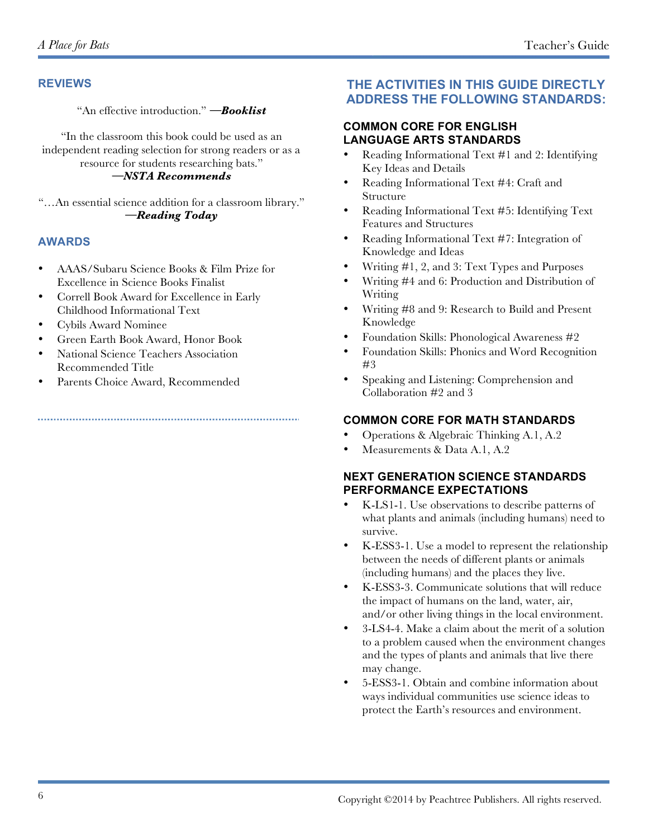#### **REVIEWS**

"An effective introduction." *—Booklist*

"In the classroom this book could be used as an independent reading selection for strong readers or as a resource for students researching bats." *—NSTA Recommends*

"…An essential science addition for a classroom library." *—Reading Today*

#### **AWARDS**

- AAAS/Subaru Science Books & Film Prize for Excellence in Science Books Finalist
- Correll Book Award for Excellence in Early Childhood Informational Text
- Cybils Award Nominee
- Green Earth Book Award, Honor Book
- National Science Teachers Association Recommended Title
- Parents Choice Award, Recommended

#### **THE ACTIVITIES IN THIS GUIDE DIRECTLY ADDRESS THE FOLLOWING STANDARDS:**

#### **COMMON CORE FOR ENGLISH LANGUAGE ARTS STANDARDS**

- Reading Informational Text #1 and 2: Identifying Key Ideas and Details
- Reading Informational Text #4: Craft and Structure
- Reading Informational Text #5: Identifying Text Features and Structures
- Reading Informational Text #7: Integration of Knowledge and Ideas
- Writing #1, 2, and 3: Text Types and Purposes
- Writing #4 and 6: Production and Distribution of Writing
- Writing #8 and 9: Research to Build and Present Knowledge
- Foundation Skills: Phonological Awareness #2
- Foundation Skills: Phonics and Word Recognition #3
- Speaking and Listening: Comprehension and Collaboration #2 and 3

#### **COMMON CORE FOR MATH STANDARDS**

- Operations & Algebraic Thinking A.1, A.2
- Measurements & Data A.1, A.2

#### **NEXT GENERATION SCIENCE STANDARDS PERFORMANCE EXPECTATIONS**

- K-LS1-1. Use observations to describe patterns of what plants and animals (including humans) need to survive.
- K-ESS3-1. Use a model to represent the relationship between the needs of different plants or animals (including humans) and the places they live.
- K-ESS3-3. Communicate solutions that will reduce the impact of humans on the land, water, air, and/or other living things in the local environment.
- 3-LS4-4. Make a claim about the merit of a solution to a problem caused when the environment changes and the types of plants and animals that live there may change.
- 5-ESS3-1. Obtain and combine information about ways individual communities use science ideas to protect the Earth's resources and environment.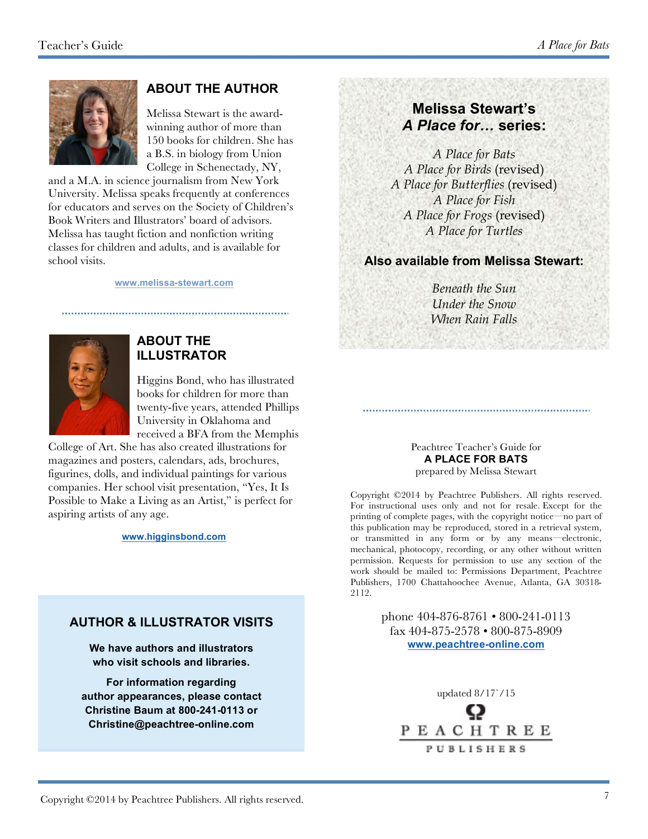

#### **ABOUT THE AUTHOR**

Melissa Stewart is the awardwinning author of more than 150 books for children. She has a B.S. in biology from Union College in Schenectady, NY,

and a M.A. in science journalism from New York University. Melissa speaks frequently at conferences for educators and serves on the Society of Children's Book Writers and Illustrators' board of advisors. Melissa has taught fiction and nonfiction writing classes for children and adults, and is available for school visits.

#### **www.melissa-stewart.com**



#### **ABOUT THE ILLUSTRATOR**

Higgins Bond, who has illustrated books for children for more than twenty-five years, attended Phillips University in Oklahoma and received a BFA from the Memphis

College of Art. She has also created illustrations for magazines and posters, calendars, ads, brochures, figurines, dolls, and individual paintings for various companies. Her school visit presentation, "Yes, It Is Possible to Make a Living as an Artist," is perfect for aspiring artists of any age.

#### **www.higginsbond.com**

#### **AUTHOR & ILLUSTRATOR VISITS**

**We have authors and illustrators who visit schools and libraries.**

**For information regarding author appearances, please contact Christine Baum at 800-241-0113 or Christine@peachtree-online.com**

#### **Melissa Stewart's** *A Place for…* **series:**

*A Place for Bats A Place for Birds* (revised) *A Place for Butterflies* (revised) *A Place for Fish A Place for Frogs* (revised) *A Place for Turtles*

#### **Also available from Melissa Stewart:**

*Beneath the Sun Under the Snow When Rain Falls*

#### Peachtree Teacher's Guide for **A PLACE FOR BATS**

prepared by Melissa Stewart

Copyright ©2014 by Peachtree Publishers. All rights reserved. For instructional uses only and not for resale. Except for the printing of complete pages, with the copyright notice—no part of this publication may be reproduced, stored in a retrieval system, or transmitted in any form or by any means—electronic, mechanical, photocopy, recording, or any other without written permission. Requests for permission to use any section of the work should be mailed to: Permissions Department, Peachtree Publishers, 1700 Chattahoochee Avenue, Atlanta, GA 30318- 2112.

> phone 404-876-8761 • 800-241-0113 fax 404-875-2578 • 800-875-8909 **www.peachtree-online.com**

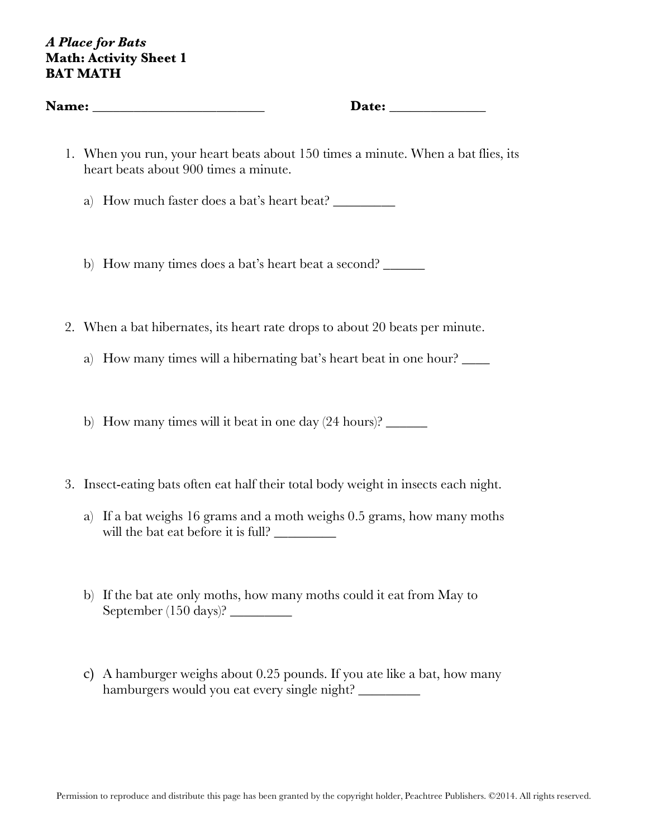#### *A Place for Bats* **Math: Activity Sheet 1 BAT MATH**

| <b>Name: _________________________</b>                                                                                     |
|----------------------------------------------------------------------------------------------------------------------------|
| 1. When you run, your heart beats about 150 times a minute. When a bat flies, its<br>heart beats about 900 times a minute. |
| How much faster does a bat's heart beat?<br>a)                                                                             |
| b) How many times does a bat's heart beat a second?                                                                        |
| 2. When a bat hibernates, its heart rate drops to about 20 beats per minute.                                               |
| How many times will a hibernating bat's heart beat in one hour?<br>a)                                                      |
| b) How many times will it beat in one day $(24 \text{ hours})$ ?                                                           |
| 3. Insect-eating bats often eat half their total body weight in insects each night.                                        |

- a) If a bat weighs 16 grams and a moth weighs 0.5 grams, how many moths will the bat eat before it is full? \_\_\_\_\_\_\_\_\_
- b) If the bat ate only moths, how many moths could it eat from May to September (150 days)? \_\_\_\_\_\_\_\_\_
- c) A hamburger weighs about 0.25 pounds. If you ate like a bat, how many hamburgers would you eat every single night? \_\_\_\_\_\_\_\_\_\_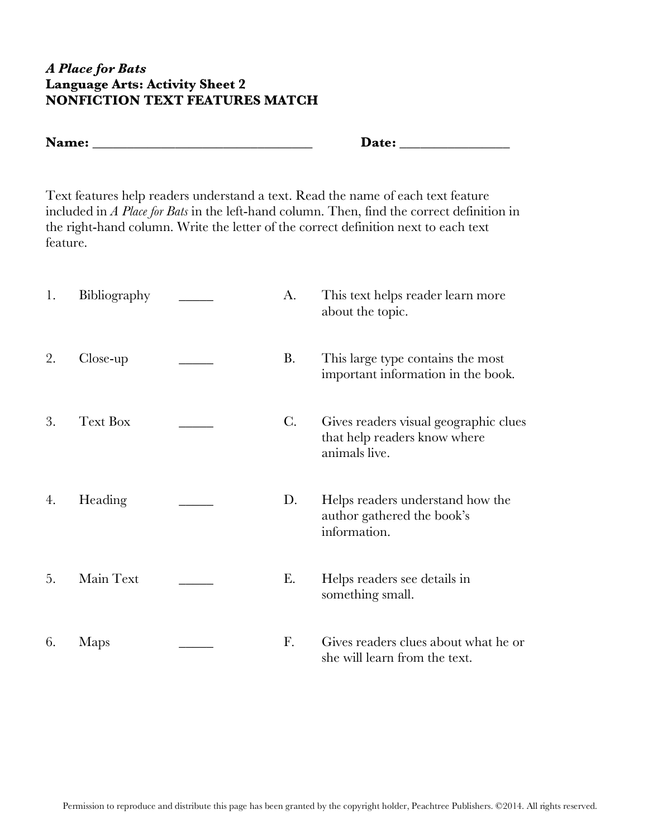#### *A Place for Bats* **Language Arts: Activity Sheet 2 NONFICTION TEXT FEATURES MATCH**

| Name: | Date: |
|-------|-------|
|-------|-------|

Text features help readers understand a text. Read the name of each text feature included in *A Place for Bats* in the left-hand column. Then, find the correct definition in the right-hand column. Write the letter of the correct definition next to each text feature.

| 1. | Bibliography    | A.             | This text helps reader learn more<br>about the topic.                                  |
|----|-----------------|----------------|----------------------------------------------------------------------------------------|
| 2. | Close-up        | B.             | This large type contains the most<br>important information in the book.                |
| 3. | <b>Text Box</b> | $\mathcal{C}.$ | Gives readers visual geographic clues<br>that help readers know where<br>animals live. |
| 4. | Heading         | D.             | Helps readers understand how the<br>author gathered the book's<br>information.         |
| 5. | Main Text       | Е.             | Helps readers see details in<br>something small.                                       |
| 6. | Maps            | F.             | Gives readers clues about what he or<br>she will learn from the text.                  |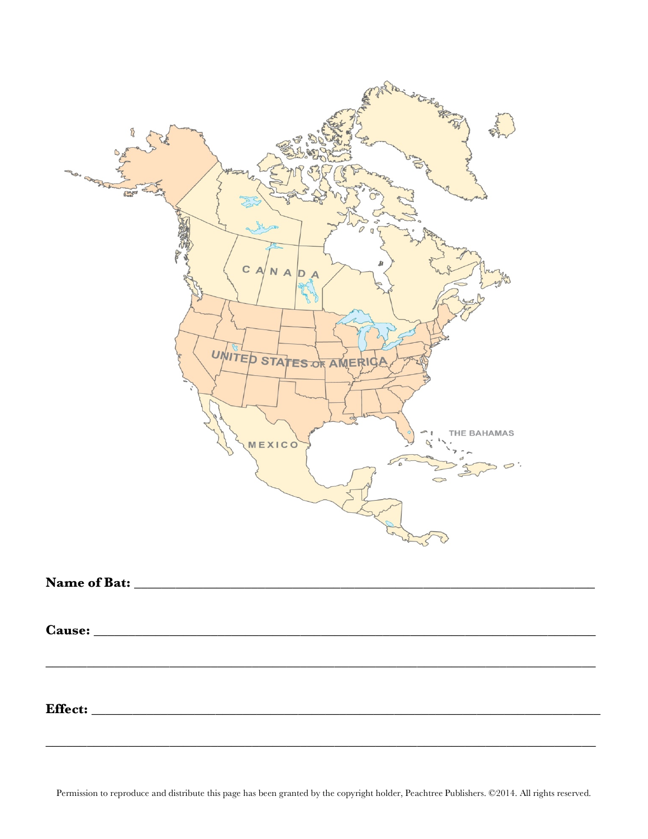

Permission to reproduce and distribute this page has been granted by the copyright holder, Peachtree Publishers. ©2014. All rights reserved.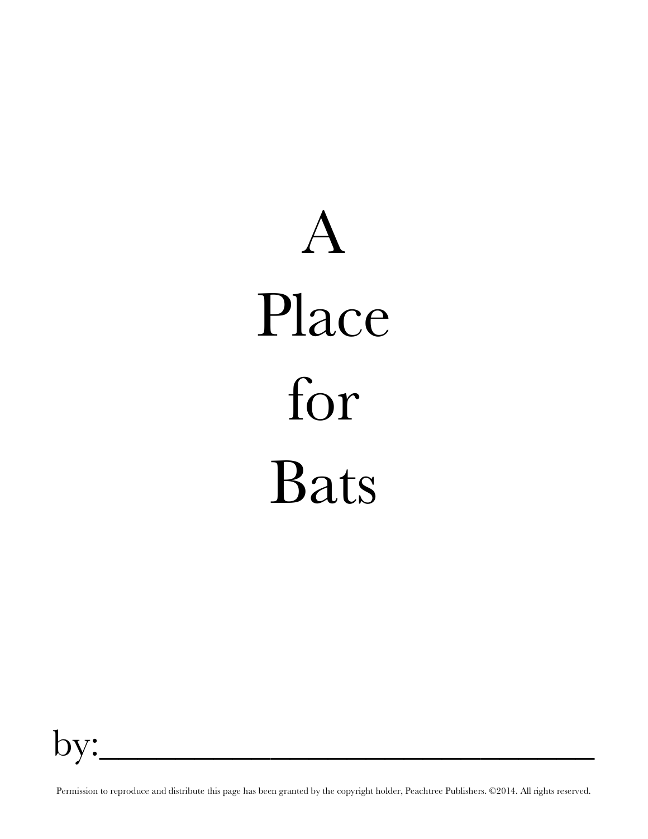# $\bm{\Lambda}$ Place for Bats

by:\_\_\_\_\_\_\_\_\_\_\_\_\_\_\_\_\_\_\_\_\_\_\_\_\_\_

Permission to reproduce and distribute this page has been granted by the copyright holder, Peachtree Publishers. ©2014. All rights reserved.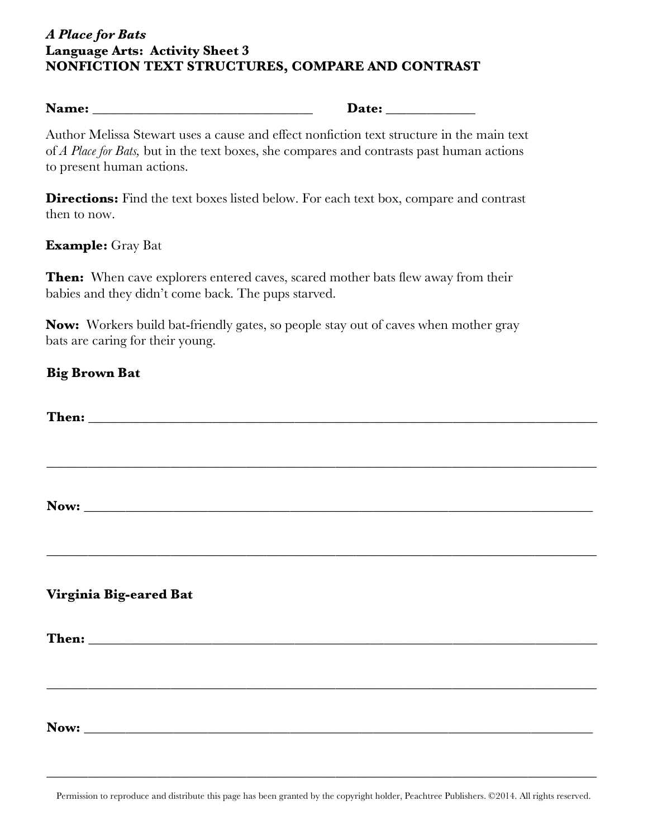#### *A Place for Bats* **Language Arts: Activity Sheet 3 NONFICTION TEXT STRUCTURES, COMPARE AND CONTRAST**

Author Melissa Stewart uses a cause and effect nonfiction text structure in the main text of *A Place for Bats,* but in the text boxes, she compares and contrasts past human actions to present human actions.

**Directions:** Find the text boxes listed below. For each text box, compare and contrast then to now.

#### **Example:** Gray Bat

**Then:** When cave explorers entered caves, scared mother bats flew away from their babies and they didn't come back. The pups starved.

**Now:** Workers build bat-friendly gates, so people stay out of caves when mother gray bats are caring for their young.

#### **Big Brown Bat**

| Virginia Big-eared Bat |  |
|------------------------|--|
|                        |  |
|                        |  |
|                        |  |
|                        |  |
|                        |  |
|                        |  |
|                        |  |
|                        |  |

\_\_\_\_\_\_\_\_\_\_\_\_\_\_\_\_\_\_\_\_\_\_\_\_\_\_\_\_\_\_\_\_\_\_\_\_\_\_\_\_\_\_\_\_\_\_\_\_\_\_\_\_\_\_\_\_\_\_\_\_\_\_\_\_\_\_\_\_\_\_\_\_\_\_\_\_\_\_\_\_